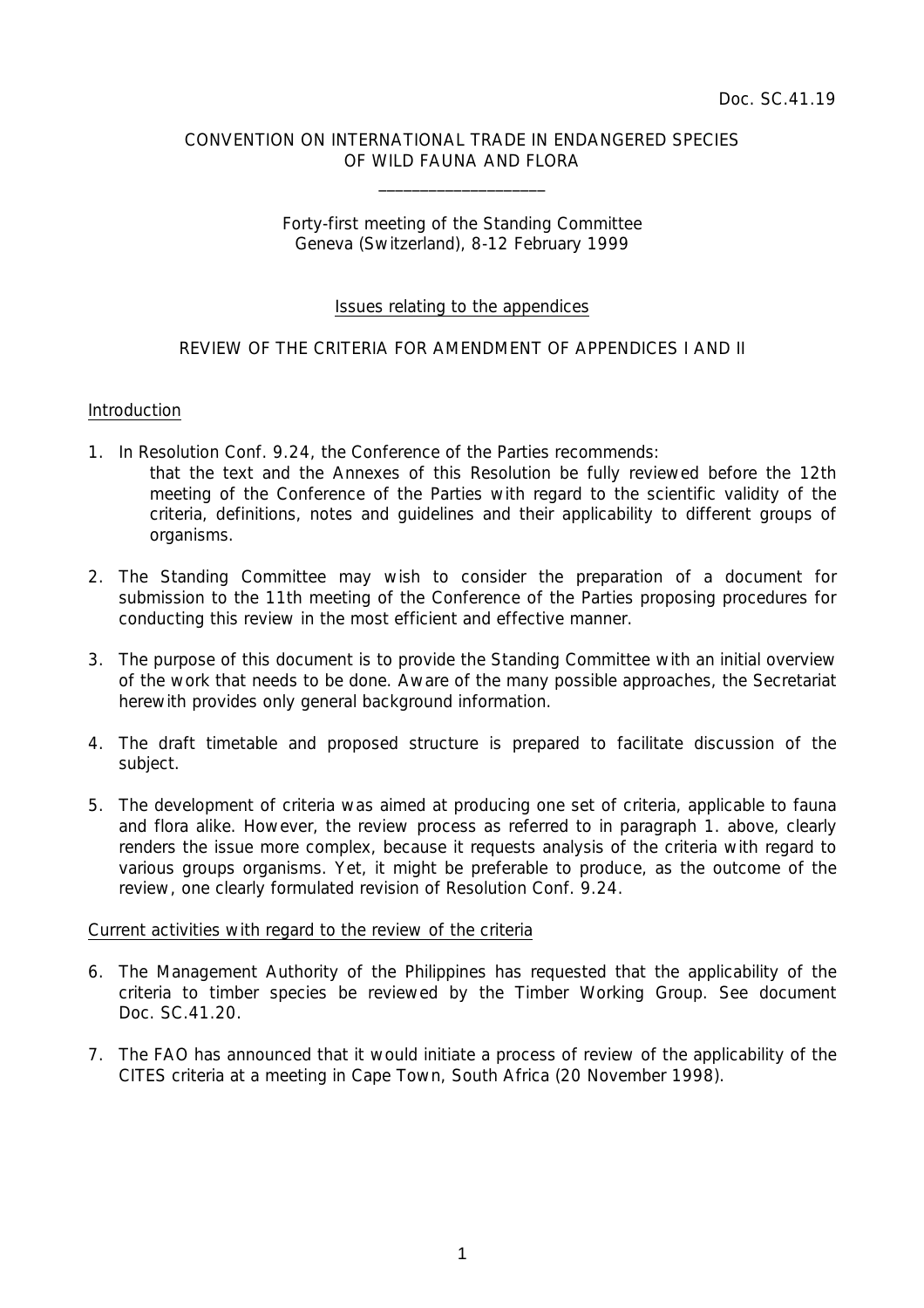## CONVENTION ON INTERNATIONAL TRADE IN ENDANGERED SPECIES OF WILD FAUNA AND FLORA

 $\overline{\phantom{a}}$  , which is a set of the set of the set of the set of the set of the set of the set of the set of the set of the set of the set of the set of the set of the set of the set of the set of the set of the set of th

### Forty-first meeting of the Standing Committee Geneva (Switzerland), 8-12 February 1999

### Issues relating to the appendices

# REVIEW OF THE CRITERIA FOR AMENDMENT OF APPENDICES I AND II

### Introduction

- 1. In Resolution Conf. 9.24, the Conference of the Parties recommends:
	- that *the text and the Annexes of this Resolution be fully reviewed before the 12th meeting of the Conference of the Parties with regard to the scientific validity of the criteria, definitions, notes and guidelines and their applicability to different groups of organisms.*
- 2. The Standing Committee may wish to consider the preparation of a document for submission to the 11th meeting of the Conference of the Parties proposing procedures for conducting this review in the most efficient and effective manner.
- 3. The purpose of this document is to provide the Standing Committee with an initial overview of the work that needs to be done. Aware of the many possible approaches, the Secretariat herewith provides only general background information.
- 4. The draft timetable and proposed structure is prepared to facilitate discussion of the subject.
- 5. The development of criteria was aimed at producing one set of criteria, applicable to fauna and flora alike. However, the review process as referred to in paragraph 1. above, clearly renders the issue more complex, because it requests analysis of the criteria with regard to various groups organisms. Yet, it might be preferable to produce, as the outcome of the review, one clearly formulated revision of Resolution Conf. 9.24.

### Current activities with regard to the review of the criteria

- 6. The Management Authority of the Philippines has requested that the applicability of the criteria to timber species be reviewed by the Timber Working Group. See document Doc. SC.41.20.
- 7. The FAO has announced that it would initiate a process of review of the applicability of the CITES criteria at a meeting in Cape Town, South Africa (20 November 1998).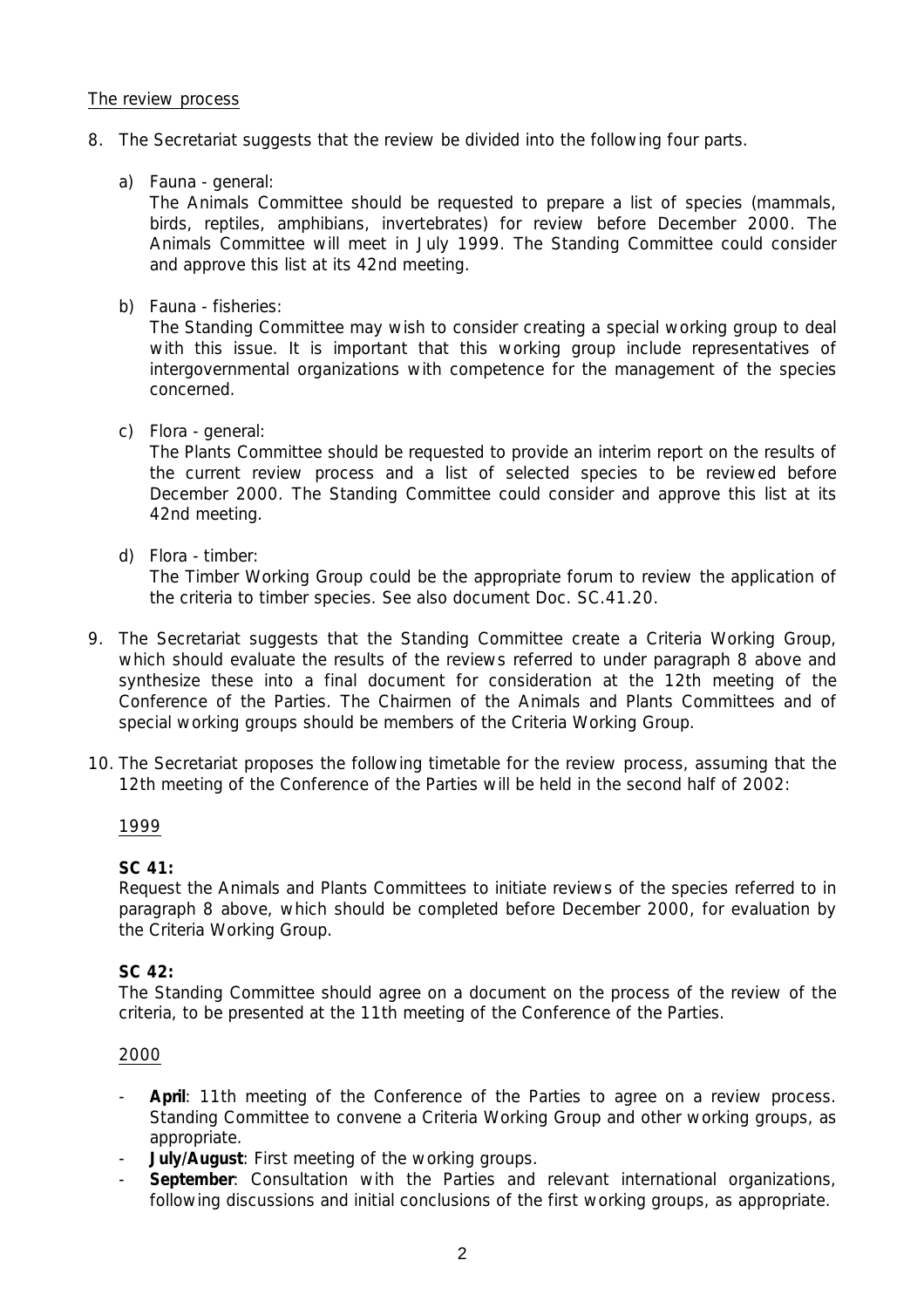## The review process

- 8. The Secretariat suggests that the review be divided into the following four parts.
	- a) Fauna general:

 The Animals Committee should be requested to prepare a list of species (mammals, birds, reptiles, amphibians, invertebrates) for review before December 2000. The Animals Committee will meet in July 1999. The Standing Committee could consider and approve this list at its 42nd meeting.

b) Fauna - fisheries:

 The Standing Committee may wish to consider creating a special working group to deal with this issue. It is important that this working group include representatives of intergovernmental organizations with competence for the management of the species concerned.

c) Flora - general:

 The Plants Committee should be requested to provide an interim report on the results of the current review process and a list of selected species to be reviewed before December 2000. The Standing Committee could consider and approve this list at its 42nd meeting.

d) Flora - timber:

 The Timber Working Group could be the appropriate forum to review the application of the criteria to timber species. See also document Doc. SC.41.20.

- 9. The Secretariat suggests that the Standing Committee create a Criteria Working Group, which should evaluate the results of the reviews referred to under paragraph 8 above and synthesize these into a final document for consideration at the 12th meeting of the Conference of the Parties. The Chairmen of the Animals and Plants Committees and of special working groups should be members of the Criteria Working Group.
- 10. The Secretariat proposes the following timetable for the review process, assuming that the 12th meeting of the Conference of the Parties will be held in the second half of 2002:

### 1999

## **SC 41:**

 Request the Animals and Plants Committees to initiate reviews of the species referred to in paragraph 8 above, which should be completed before December 2000, for evaluation by the Criteria Working Group.

### **SC 42:**

 The Standing Committee should agree on a document on the process of the review of the criteria, to be presented at the 11th meeting of the Conference of the Parties.

### 2000

- April: 11th meeting of the Conference of the Parties to agree on a review process. Standing Committee to convene a Criteria Working Group and other working groups, as appropriate.
- **July/August**: First meeting of the working groups.
- September: Consultation with the Parties and relevant international organizations, following discussions and initial conclusions of the first working groups, as appropriate.